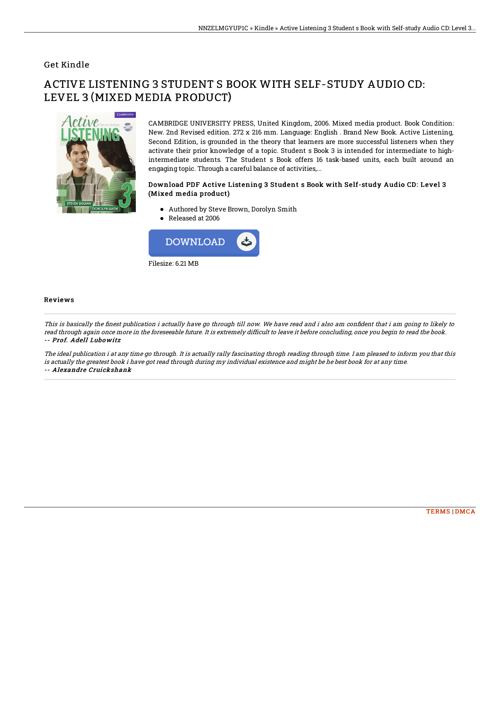### Get Kindle

# ACTIVE LISTENING 3 STUDENT S BOOK WITH SELF-STUDY AUDIO CD: LEVEL 3 (MIXED MEDIA PRODUCT)



CAMBRIDGE UNIVERSITY PRESS, United Kingdom, 2006. Mixed media product. Book Condition: New. 2nd Revised edition. 272 x 216 mm. Language: English . Brand New Book. Active Listening, Second Edition, is grounded in the theory that learners are more successful listeners when they activate their prior knowledge of a topic. Student s Book 3 is intended for intermediate to highintermediate students. The Student s Book offers 16 task-based units, each built around an engaging topic. Through a careful balance of activities,...

#### Download PDF Active Listening 3 Student s Book with Self-study Audio CD: Level 3 (Mixed media product)

- Authored by Steve Brown, Dorolyn Smith
- Released at 2006



#### Reviews

This is basically the finest publication i actually have go through till now. We have read and i also am confident that i am going to likely to read through again once more in the foreseeable future. It is extremely difficult to leave it before concluding, once you begin to read the book. -- Prof. Adell Lubowitz

The ideal publication i at any time go through. It is actually rally fascinating throgh reading through time. I am pleased to inform you that this is actually the greatest book i have got read through during my individual existence and might be he best book for at any time. -- Alexandre Cruickshank